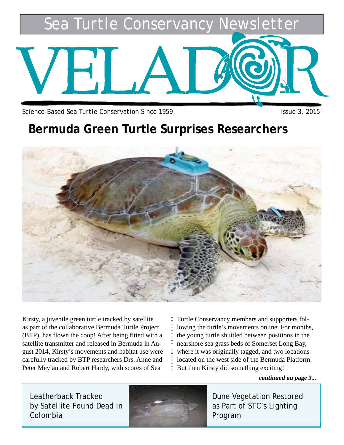*Sea Turtle Conservancy Newsletter*

*Science-Based Sea Turtle Conservation Since 1959 Issue 3, 2015*

### **Bermuda Green Turtle Surprises Researchers**



Kirsty, a juvenile green turtle tracked by satellite as part of the collaborative Bermuda Turtle Project (BTP), has flown the coop! After being fitted with a satellite transmitter and released in Bermuda in August 2014, Kirsty's movements and habitat use were carefully tracked by BTP researchers Drs. Anne and Peter Meylan and Robert Hardy, with scores of Sea

Turtle Conservancy members and supporters following the turtle's movements online. For months, the young turtle shuttled between positions in the nearshore sea grass beds of Somerset Long Bay, where it was originally tagged, and two locations located on the west side of the Bermuda Platform. But then Kirsty did something exciting!

**continued on page 3...**

Leatherback Tracked by Satellite Found Dead in Colombia



Dune Vegetation Restored as Part of STC's Lighting Program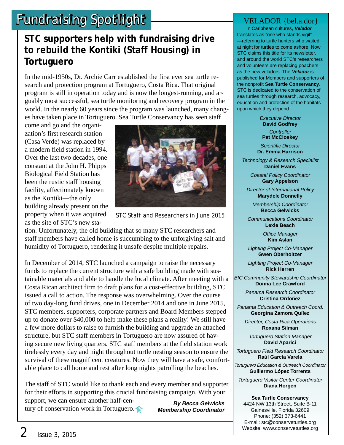# **Fundraising Spotlight Fundraising Spotlight**

### **STC supporters help with fundraising drive to rebuild the Kontiki (Staff Housing) in Tortuguero**

In the mid-1950s, Dr. Archie Carr established the first ever sea turtle research and protection program at Tortuguero, Costa Rica. That original program is still in operation today and is now the longest-running, and arguably most successful, sea turtle monitoring and recovery program in the world. In the nearly 60 years since the program was launched, many changes have taken place in Tortuguero. Sea Turtle Conservancy has seen staff

come and go and the organization's first research station (Casa Verde) was replaced by a modern field station in 1994. Over the last two decades, one constant at the John H. Phipps Biological Field Station has been the rustic staff housing facility, affectionately known as the Kontiki—the only building already present on the property when it was acquired as the site of STC's new sta-



STC Staff and Researchers in June 2015

**By Becca Gelwicks Membership Coordinator**

tion. Unfortunately, the old building that so many STC researchers and staff members have called home is succumbing to the unforgiving salt and humidity of Tortuguero, rendering it unsafe despite multiple repairs.

In December of 2014, STC launched a campaign to raise the necessary funds to replace the current structure with a safe building made with sustainable materials and able to handle the local climate. After meeting with a Costa Rican architect firm to draft plans for a cost-effective building, STC issued a call to action. The response was overwhelming. Over the course of two day-long fund drives, one in December 2014 and one in June 2015, STC members, supporters, corporate partners and Board Members stepped up to donate over \$40,000 to help make these plans a reality! We still have a few more dollars to raise to furnish the building and upgrade an attached structure, but STC staff members in Tortuguero are now assured of having secure new living quarters. STC staff members at the field station work tirelessly every day and night throughout turtle nesting season to ensure the survival of these magnificent creatures. Now they will have a safe, comfortable place to call home and rest after long nights patrolling the beaches.

The staff of STC would like to thank each and every member and supporter for their efforts in supporting this crucial fundraising campaign. With your

support, we can ensure another half-century of conservation work in Tortuguero.

 In Caribbean cultures, **Velador** translates as "one who stands vigil" —referring to turtle hunters who waited at night for turtles to come ashore. Now STC claims this title for its newsletter, and around the world STC's researchers and volunteers are replacing poachers as the new veladors. The **Velador** is published for Members and supporters of the nonprofit **Sea Turtle Conservancy**. STC is dedicated to the conservation of sea turtles through research, advocacy, education and protection of the habitats upon which they depend.

> Executive Director **David Godfrey Controller Pat McCloskey**

Scientific Director **Dr. Emma Harrison**

Technology & Research Specialist **Daniel Evans**

> Coastal Policy Coordinator **Gary Appelson**

Director of International Policy **Marydele Donnelly**

Membership Coordinator **Becca Gelwicks**

Communications Coordinator **Lexie Beach**

> Office Manager **Kim Aslan**

Lighting Project Co-Manager **Gwen Oberholtzer**

Lighting Project Co-Manager **Rick Herren**

BIC Community Stewardship Coordinator **Donna Lee Crawford**

> Panama Research Coordinator **Cristina Ordoñez**

Panama Education & Outreach Coord. **Georgina Zamora Quílez**

Director, Costa Rica Operations **Roxana Silman**

Tortuguero Station Manager **David Aparici**

Tortuguero Field Research Coordinator **Raúl García Varela**

To*rtuguero Education & Outreach Coordinator* **Guillermo López Torrents**

Tortuguero Visitor Center Coordinator **Diana Horgen**

**Sea Turtle Conservancy** 4424 NW 13th Street, Suite B-11 Gainesville, Florida 32609 Phone: (352) 373-6441 E-mail: stc@conserveturtles.org Website: www.conserveturtles.org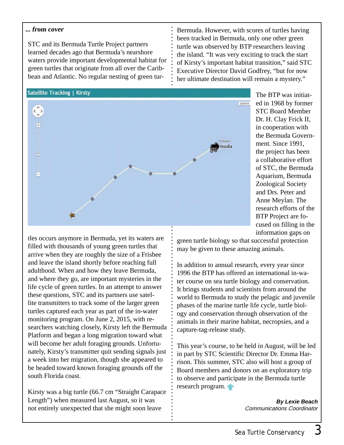#### **... from cover**

STC and its Bermuda Turtle Project partners learned decades ago that Bermuda's nearshore waters provide important developmental habitat for green turtles that originate from all over the Caribbean and Atlantic. No regular nesting of green tur-

of Kirsty's important habitat transition," said STC Executive Director David Godfrey, "but for now her ultimate destination will remain a mystery."

#### **Satellite Tracking | Kirsty**



The BTP was initiated in 1968 by former STC Board Member Dr. H. Clay Frick II, in cooperation with the Bermuda Government. Since 1991, the project has been a collaborative effort of STC, the Bermuda Aquarium, Bermuda Zoological Society and Drs. Peter and Anne Meylan. The research efforts of the BTP Project are focused on filling in the information gaps on

green turtle biology so that successful protection may be given to these amazing animals.

Bermuda. However, with scores of turtles having been tracked in Bermuda, only one other green turtle was observed by BTP researchers leaving the island. "It was very exciting to track the start

In addition to annual research, every year since 1996 the BTP has offered an international in-water course on sea turtle biology and conservation. It brings students and scientists from around the world to Bermuda to study the pelagic and juvenile phases of the marine turtle life cycle, turtle biology and conservation through observation of the animals in their marine habitat, necropsies, and a capture-tag-release study.

This year's course, to be held in August, will be led in part by STC Scientific Director Dr. Emma Harrison. This summer, STC also will host a group of Board members and donors on an exploratory trip to observe and participate in the Bermuda turtle research program.

> **By Lexie Beach** *Communications Coordinator*

tles occurs anymore in Bermuda, yet its waters are filled with thousands of young green turtles that arrive when they are roughly the size of a Frisbee and leave the island shortly before reaching full adulthood. When and how they leave Bermuda, and where they go, are important mysteries in the life cycle of green turtles. In an attempt to answer these questions, STC and its partners use satellite transmitters to track some of the larger green turtles captured each year as part of the in-water monitoring program. On June 2, 2015, with researchers watching closely, Kirsty left the Bermuda Platform and began a long migration toward what will become her adult foraging grounds. Unfortunately, Kirsty's transmitter quit sending signals just a week into her migration, though she appeared to be headed toward known foraging grounds off the south Florida coast.

Kirsty was a big turtle (66.7 cm "Straight Carapace Length") when measured last August, so it was not entirely unexpected that she might soon leave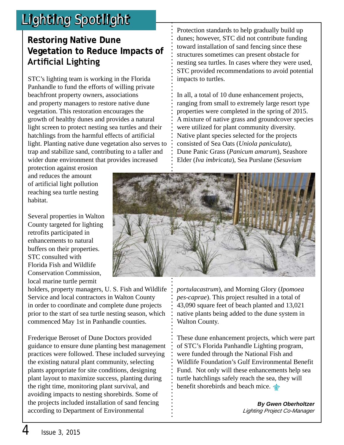# *Lighting Spotlight*

### **Restoring Native Dune Vegetation to Reduce Impacts of Artificial Lighting**

STC's lighting team is working in the Florida Panhandle to fund the efforts of willing private beachfront property owners, associations and property managers to restore native dune vegetation. This restoration encourages the growth of healthy dunes and provides a natural light screen to protect nesting sea turtles and their hatchlings from the harmful effects of artificial light. Planting native dune vegetation also serves to trap and stabilize sand, contributing to a taller and wider dune environment that provides increased

protection against erosion and reduces the amount of artificial light pollution reaching sea turtle nesting habitat.

Several properties in Walton County targeted for lighting retrofits participated in enhancements to natural buffers on their properties. STC consulted with Florida Fish and Wildlife Conservation Commission, local marine turtle permit

holders, property managers, U. S. Fish and Wildlife Service and local contractors in Walton County in order to coordinate and complete dune projects prior to the start of sea turtle nesting season, which commenced May 1st in Panhandle counties.

Frederique Beroset of Dune Doctors provided guidance to ensure dune planting best management practices were followed. These included surveying the existing natural plant community, selecting plants appropriate for site conditions, designing plant layout to maximize success, planting during the right time, monitoring plant survival, and avoiding impacts to nesting shorebirds. Some of the projects included installation of sand fencing according to Department of Environmental

Protection standards to help gradually build up dunes; however, STC did not contribute funding toward installation of sand fencing since these structures sometimes can present obstacle for nesting sea turtles. In cases where they were used, STC provided recommendations to avoid potential impacts to turtles.

In all, a total of 10 dune enhancement projects, ranging from small to extremely large resort type properties were completed in the spring of 2015. A mixture of native grass and groundcover species were utilized for plant community diversity. Native plant species selected for the projects consisted of Sea Oats (*Uniola paniculata*), Dune Panic Grass (*Panicum amarum*), Seashore Elder (*Iva imbricata*), Sea Purslane (*Sesuvium* 



*portulacastrum*), and Morning Glory (*Ipomoea pes-caprae*). This project resulted in a total of 43,090 square feet of beach planted and 13,021 native plants being added to the dune system in Walton County.

These dune enhancement projects, which were part of STC's Florida Panhandle Lighting program, were funded through the National Fish and Wildlife Foundation's Gulf Environmental Benefit Fund. Not only will these enhancements help sea turtle hatchlings safely reach the sea, they will benefit shorebirds and beach mice.

> **By Gwen Oberholtzer** *Lighting Project Co-Manager*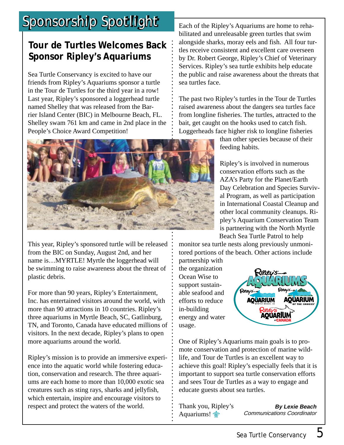## *Sponsorship Spotlight*

### **Tour de Turtles Welcomes Back Sponsor Ripley's Aquariums**

Sea Turtle Conservancy is excited to have our friends from Ripley's Aquariums sponsor a turtle in the Tour de Turtles for the third year in a row! Last year, Ripley's sponsored a loggerhead turtle named Shelley that was released from the Barrier Island Center (BIC) in Melbourne Beach, FL. Shelley swam 761 km and came in 2nd place in the People's Choice Award Competition!



This year, Ripley's sponsored turtle will be released from the BIC on Sunday, August 2nd, and her name is…MYRTLE! Myrtle the loggerhead will be swimming to raise awareness about the threat of plastic debris.

For more than 90 years, Ripley's Entertainment, Inc. has entertained visitors around the world, with more than 90 attractions in 10 countries. Ripley's three aquariums in Myrtle Beach, SC, Gatlinburg, TN, and Toronto, Canada have educated millions of visitors. In the next decade, Ripley's plans to open more aquariums around the world.

Ripley's mission is to provide an immersive experience into the aquatic world while fostering education, conservation and research. The three aquariums are each home to more than 10,000 exotic sea creatures such as sting rays, sharks and jellyfish, which entertain, inspire and encourage visitors to respect and protect the waters of the world.

Each of the Ripley's Aquariums are home to rehabilitated and unreleasable green turtles that swim alongside sharks, moray eels and fish. All four turtles receive consistent and excellent care overseen by Dr. Robert George, Ripley's Chief of Veterinary Services. Ripley's sea turtle exhibits help educate the public and raise awareness about the threats that sea turtles face.

The past two Ripley's turtles in the Tour de Turtles raised awareness about the dangers sea turtles face from longline fisheries. The turtles, attracted to the bait, get caught on the hooks used to catch fish. Loggerheads face higher risk to longline fisheries

than other species because of their feeding habits.

Ripley's is involved in numerous conservation efforts such as the AZA's Party for the Planet/Earth Day Celebration and Species Survival Program, as well as participation in International Coastal Cleanup and other local community cleanups. Ripley's Aquarium Conservation Team is partnering with the North Myrtle Beach Sea Turtle Patrol to help

monitor sea turtle nests along previously unmonitored portions of the beach. Other actions include

partnership with the organization Ocean Wise to support sustainable seafood and efforts to reduce in-building energy and water usage.



One of Ripley's Aquariums main goals is to promote conservation and protection of marine wildlife, and Tour de Turtles is an excellent way to achieve this goal! Ripley's especially feels that it is important to support sea turtle conservation efforts and sees Tour de Turtles as a way to engage and educate guests about sea turtles.

Thank you, Ripley's Aquariums!

**By Lexie Beach** *Communications Coordinator*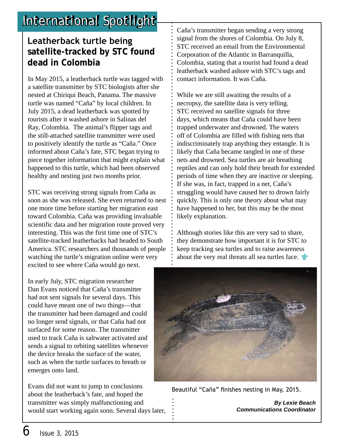## *International Spotlight*

#### **Leatherback turtle being satellite-tracked by STC found dead in Colombia**

In May 2015, a leatherback turtle was tagged with a satellite transmitter by STC biologists after she nested at Chiriqui Beach, Panama. The massive turtle was named "Caña" by local children. In July 2015, a dead leatherback was spotted by tourists after it washed ashore in Salinas del Ray, Colombia. The animal's flipper tags and the still-attached satellite transmitter were used to positively identify the turtle as "Caña." Once informed about Caña's fate, STC began trying to piece together information that might explain what happened to this turtle, which had been observed healthy and nesting just two months prior.

STC was receiving strong signals from Caña as soon as she was released. She even returned to nest one more time before starting her migration east toward Colombia. Caña was providing invaluable scientific data and her migration route proved very interesting. This was the first time one of STC's satellite-tracked leatherbacks had headed to South America. STC researchers and thousands of people watching the turtle's migration online were very excited to see where Caña would go next.

In early July, STC migration researcher Dan Evans noticed that Caña's transmitter had not sent signals for several days. This could have meant one of two things—that the transmitter had been damaged and could no longer send signals, or that Caña had not surfaced for some reason. The transmitter used to track Caña is saltwater activated and sends a signal to orbiting satellites whenever the device breaks the surface of the water, such as when the turtle surfaces to breath or emerges onto land.

Evans did not want to jump to conclusions about the leatherback's fate, and hoped the transmitter was simply malfunctioning and would start working again soon. Several days later, Caña's transmitter began sending a very strong signal from the shores of Colombia. On July 8, STC received an email from the Environmental Corporation of the Atlantic in Barranquilla, Colombia, stating that a tourist had found a dead leatherback washed ashore with STC's tags and contact information. It was Caña.

While we are still awaiting the results of a necropsy, the satellite data is very telling. STC received no satellite signals for three days, which means that Caña could have been trapped underwater and drowned. The waters off of Colombia are filled with fishing nets that indiscriminately trap anything they entangle. It is likely that Caña became tangled in one of these nets and drowned. Sea turtles are air breathing reptiles and can only hold their breath for extended periods of time when they are inactive or sleeping. If she was, in fact, trapped in a net, Caña's struggling would have caused her to drown fairly quickly. This is only one theory about what may have happened to her, but this may be the most likely explanation.

Although stories like this are very sad to share, they demonstrate how important it is for STC to keep tracking sea turtles and to raise awareness about the very real threats all sea turtles face.



Beautiful "Caña" finishes nesting in May, 2015.

**By Lexie Beach Communications Coordinator**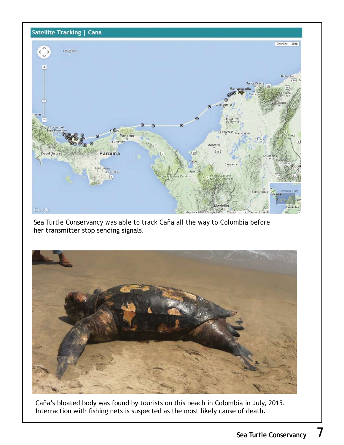

Sea Turtle Conservancy was able to track Caña all the way to Colombia before her transmitter stop sending signals.



Caña's bloated body was found by tourists on this beach in Colombia in July, 2015. Interraction with fishing nets is suspected as the most likely cause of death.